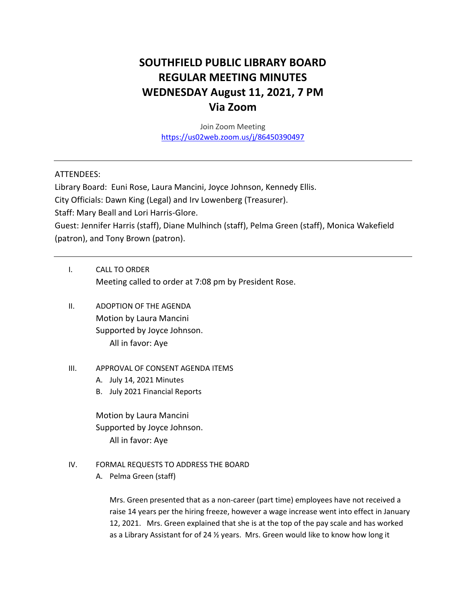# **SOUTHFIELD PUBLIC LIBRARY BOARD REGULAR MEETING MINUTES WEDNESDAY August 11, 2021, 7 PM Via Zoom**

Join Zoom Meeting <https://us02web.zoom.us/j/86450390497>

### ATTENDEES:

Library Board: Euni Rose, Laura Mancini, Joyce Johnson, Kennedy Ellis.

City Officials: Dawn King (Legal) and Irv Lowenberg (Treasurer).

Staff: Mary Beall and Lori Harris-Glore.

Guest: Jennifer Harris (staff), Diane Mulhinch (staff), Pelma Green (staff), Monica Wakefield (patron), and Tony Brown (patron).

- I. CALL TO ORDER Meeting called to order at 7:08 pm by President Rose.
- II. ADOPTION OF THE AGENDA Motion by Laura Mancini Supported by Joyce Johnson. All in favor: Aye
- III. APPROVAL OF CONSENT AGENDA ITEMS
	- A. July 14, 2021 Minutes
	- B. July 2021 Financial Reports

Motion by Laura Mancini Supported by Joyce Johnson. All in favor: Aye

- IV. FORMAL REQUESTS TO ADDRESS THE BOARD
	- A. Pelma Green (staff)

Mrs. Green presented that as a non-career (part time) employees have not received a raise 14 years per the hiring freeze, however a wage increase went into effect in January 12, 2021. Mrs. Green explained that she is at the top of the pay scale and has worked as a Library Assistant for of 24 ½ years. Mrs. Green would like to know how long it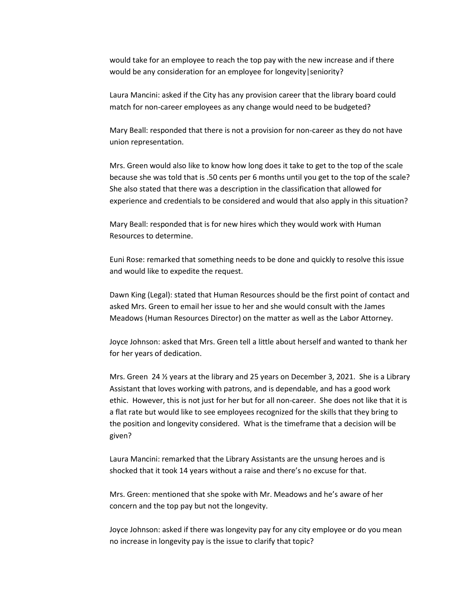would take for an employee to reach the top pay with the new increase and if there would be any consideration for an employee for longevity | seniority?

Laura Mancini: asked if the City has any provision career that the library board could match for non-career employees as any change would need to be budgeted?

Mary Beall: responded that there is not a provision for non-career as they do not have union representation.

Mrs. Green would also like to know how long does it take to get to the top of the scale because she was told that is .50 cents per 6 months until you get to the top of the scale? She also stated that there was a description in the classification that allowed for experience and credentials to be considered and would that also apply in this situation?

Mary Beall: responded that is for new hires which they would work with Human Resources to determine.

Euni Rose: remarked that something needs to be done and quickly to resolve this issue and would like to expedite the request.

Dawn King (Legal): stated that Human Resources should be the first point of contact and asked Mrs. Green to email her issue to her and she would consult with the James Meadows (Human Resources Director) on the matter as well as the Labor Attorney.

Joyce Johnson: asked that Mrs. Green tell a little about herself and wanted to thank her for her years of dedication.

Mrs. Green 24  $\frac{1}{2}$  years at the library and 25 years on December 3, 2021. She is a Library Assistant that loves working with patrons, and is dependable, and has a good work ethic. However, this is not just for her but for all non-career. She does not like that it is a flat rate but would like to see employees recognized for the skills that they bring to the position and longevity considered. What is the timeframe that a decision will be given?

Laura Mancini: remarked that the Library Assistants are the unsung heroes and is shocked that it took 14 years without a raise and there's no excuse for that.

Mrs. Green: mentioned that she spoke with Mr. Meadows and he's aware of her concern and the top pay but not the longevity.

Joyce Johnson: asked if there was longevity pay for any city employee or do you mean no increase in longevity pay is the issue to clarify that topic?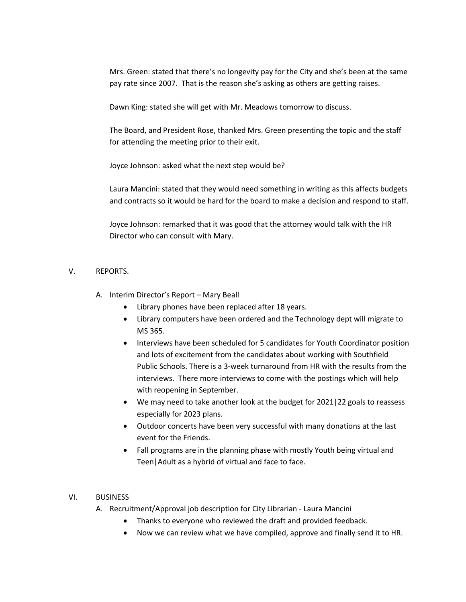Mrs. Green: stated that there's no longevity pay for the City and she's been at the same pay rate since 2007. That is the reason she's asking as others are getting raises.

Dawn King: stated she will get with Mr. Meadows tomorrow to discuss.

The Board, and President Rose, thanked Mrs. Green presenting the topic and the staff for attending the meeting prior to their exit.

Joyce Johnson: asked what the next step would be?

Laura Mancini: stated that they would need something in writing as this affects budgets and contracts so it would be hard for the board to make a decision and respond to staff.

Joyce Johnson: remarked that it was good that the attorney would talk with the HR Director who can consult with Mary.

## V. REPORTS.

- A. Interim Director's Report Mary Beall
	- Library phones have been replaced after 18 years.
	- Library computers have been ordered and the Technology dept will migrate to MS 365.
	- Interviews have been scheduled for 5 candidates for Youth Coordinator position and lots of excitement from the candidates about working with Southfield Public Schools. There is a 3-week turnaround from HR with the results from the interviews. There more interviews to come with the postings which will help with reopening in September.
	- We may need to take another look at the budget for 2021|22 goals to reassess especially for 2023 plans.
	- Outdoor concerts have been very successful with many donations at the last event for the Friends.
	- Fall programs are in the planning phase with mostly Youth being virtual and Teen|Adult as a hybrid of virtual and face to face.

#### VI. BUSINESS

- A. Recruitment/Approval job description for City Librarian Laura Mancini
	- Thanks to everyone who reviewed the draft and provided feedback.
	- Now we can review what we have compiled, approve and finally send it to HR.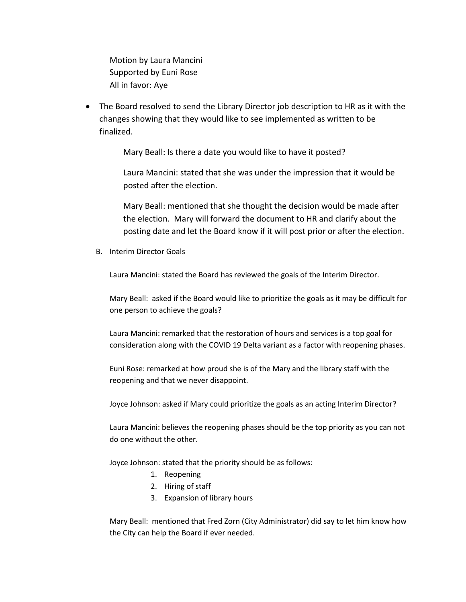Motion by Laura Mancini Supported by Euni Rose All in favor: Aye

• The Board resolved to send the Library Director job description to HR as it with the changes showing that they would like to see implemented as written to be finalized.

Mary Beall: Is there a date you would like to have it posted?

Laura Mancini: stated that she was under the impression that it would be posted after the election.

Mary Beall: mentioned that she thought the decision would be made after the election. Mary will forward the document to HR and clarify about the posting date and let the Board know if it will post prior or after the election.

B. Interim Director Goals

Laura Mancini: stated the Board has reviewed the goals of the Interim Director.

Mary Beall: asked if the Board would like to prioritize the goals as it may be difficult for one person to achieve the goals?

Laura Mancini: remarked that the restoration of hours and services is a top goal for consideration along with the COVID 19 Delta variant as a factor with reopening phases.

Euni Rose: remarked at how proud she is of the Mary and the library staff with the reopening and that we never disappoint.

Joyce Johnson: asked if Mary could prioritize the goals as an acting Interim Director?

Laura Mancini: believes the reopening phases should be the top priority as you can not do one without the other.

Joyce Johnson: stated that the priority should be as follows:

- 1. Reopening
- 2. Hiring of staff
- 3. Expansion of library hours

Mary Beall: mentioned that Fred Zorn (City Administrator) did say to let him know how the City can help the Board if ever needed.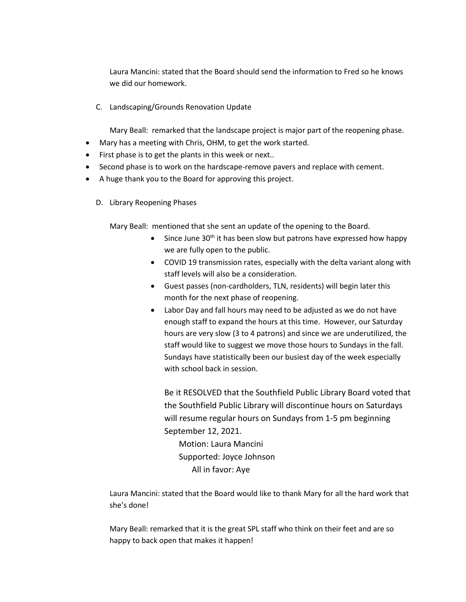Laura Mancini: stated that the Board should send the information to Fred so he knows we did our homework.

C. Landscaping/Grounds Renovation Update

Mary Beall: remarked that the landscape project is major part of the reopening phase.

- Mary has a meeting with Chris, OHM, to get the work started.
- First phase is to get the plants in this week or next..
- Second phase is to work on the hardscape-remove pavers and replace with cement.
- A huge thank you to the Board for approving this project.
	- D. Library Reopening Phases

Mary Beall: mentioned that she sent an update of the opening to the Board.

- Since June  $30<sup>th</sup>$  it has been slow but patrons have expressed how happy we are fully open to the public.
- COVID 19 transmission rates, especially with the delta variant along with staff levels will also be a consideration.
- Guest passes (non-cardholders, TLN, residents) will begin later this month for the next phase of reopening.
- Labor Day and fall hours may need to be adjusted as we do not have enough staff to expand the hours at this time. However, our Saturday hours are very slow (3 to 4 patrons) and since we are underutilized, the staff would like to suggest we move those hours to Sundays in the fall. Sundays have statistically been our busiest day of the week especially with school back in session.

Be it RESOLVED that the Southfield Public Library Board voted that the Southfield Public Library will discontinue hours on Saturdays will resume regular hours on Sundays from 1-5 pm beginning September 12, 2021.

 Motion: Laura Mancini Supported: Joyce Johnson All in favor: Aye

Laura Mancini: stated that the Board would like to thank Mary for all the hard work that she's done!

Mary Beall: remarked that it is the great SPL staff who think on their feet and are so happy to back open that makes it happen!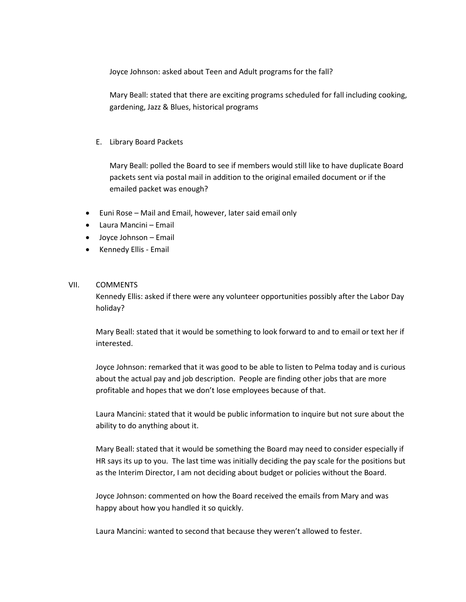Joyce Johnson: asked about Teen and Adult programs for the fall?

Mary Beall: stated that there are exciting programs scheduled for fall including cooking, gardening, Jazz & Blues, historical programs

#### E. Library Board Packets

Mary Beall: polled the Board to see if members would still like to have duplicate Board packets sent via postal mail in addition to the original emailed document or if the emailed packet was enough?

- Euni Rose Mail and Email, however, later said email only
- Laura Mancini Email
- Joyce Johnson Email
- Kennedy Ellis Email

#### VII. COMMENTS

Kennedy Ellis: asked if there were any volunteer opportunities possibly after the Labor Day holiday?

Mary Beall: stated that it would be something to look forward to and to email or text her if interested.

Joyce Johnson: remarked that it was good to be able to listen to Pelma today and is curious about the actual pay and job description. People are finding other jobs that are more profitable and hopes that we don't lose employees because of that.

Laura Mancini: stated that it would be public information to inquire but not sure about the ability to do anything about it.

Mary Beall: stated that it would be something the Board may need to consider especially if HR says its up to you. The last time was initially deciding the pay scale for the positions but as the Interim Director, I am not deciding about budget or policies without the Board.

Joyce Johnson: commented on how the Board received the emails from Mary and was happy about how you handled it so quickly.

Laura Mancini: wanted to second that because they weren't allowed to fester.